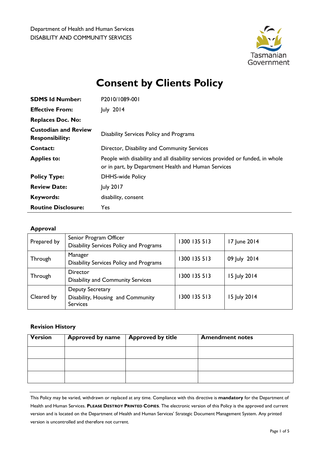

# **Consent by Clients Policy**

| <b>SDMS Id Number:</b>                                | P2010/1089-001                                                                                                                         |
|-------------------------------------------------------|----------------------------------------------------------------------------------------------------------------------------------------|
| <b>Effective From:</b>                                | July 2014                                                                                                                              |
| <b>Replaces Doc. No:</b>                              |                                                                                                                                        |
| <b>Custodian and Review</b><br><b>Responsibility:</b> | <b>Disability Services Policy and Programs</b>                                                                                         |
| Contact:                                              | Director, Disability and Community Services                                                                                            |
| <b>Applies to:</b>                                    | People with disability and all disability services provided or funded, in whole<br>or in part, by Department Health and Human Services |
| <b>Policy Type:</b>                                   | <b>DHHS-wide Policy</b>                                                                                                                |
| <b>Review Date:</b>                                   | <b>July 2017</b>                                                                                                                       |
| <b>Keywords:</b>                                      | disability, consent                                                                                                                    |
| <b>Routine Disclosure:</b>                            | Yes                                                                                                                                    |

# **Approval**

| Prepared by | Senior Program Officer<br>Disability Services Policy and Programs        | 1300 135 513 | 17 June 2014 |
|-------------|--------------------------------------------------------------------------|--------------|--------------|
| Through     | Manager<br>Disability Services Policy and Programs                       | 1300 135 513 | 09 July 2014 |
| Through     | Director<br><b>Disability and Community Services</b>                     | 1300 135 513 | 15 July 2014 |
| Cleared by  | Deputy Secretary<br>Disability, Housing and Community<br><b>Services</b> | 1300 135 513 | 15 July 2014 |

# **Revision History**

| <b>Version</b> | <b>Approved by name</b> | <b>Approved by title</b> | <b>Amendment notes</b> |
|----------------|-------------------------|--------------------------|------------------------|
|                |                         |                          |                        |
|                |                         |                          |                        |
|                |                         |                          |                        |

This Policy may be varied, withdrawn or replaced at any time. Compliance with this directive is **mandatory** for the Department of Health and Human Services. **PLEASE DESTROY PRINTED COPIES**. The electronic version of this Policy is the approved and current version and is located on the Department of Health and Human Services' Strategic Document Management System. Any printed version is uncontrolled and therefore not current.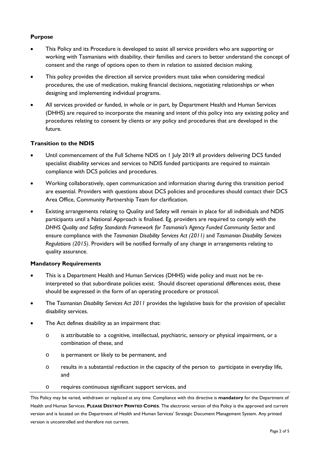# **Purpose**

- This Policy and its Procedure is developed to assist all service providers who are supporting or working with Tasmanians with disability, their families and carers to better understand the concept of consent and the range of options open to them in relation to assisted decision making.
- This policy provides the direction all service providers must take when considering medical procedures, the use of medication, making financial decisions, negotiating relationships or when designing and implementing individual programs.
- All services provided or funded, in whole or in part, by Department Health and Human Services (DHHS) are required to incorporate the meaning and intent of this policy into any existing policy and procedures relating to consent by clients or any policy and procedures that are developed in the future.

# **Transition to the NDIS**

- Until commencement of the Full Scheme NDIS on 1 July 2019 all providers delivering DCS funded specialist disability services and services to NDIS funded participants are required to maintain compliance with DCS policies and procedures.
- Working collaboratively, open communication and information sharing during this transition period are essential. Providers with questions about DCS policies and procedures should contact their DCS Area Office, Community Partnership Team for clarification.
- Existing arrangements relating to Quality and Safety will remain in place for all individuals and NDIS participants until a National Approach is finalised. Eg. providers are required to comply with the **DHHS Quality and Safety Standards Framework for Tasmania's Agency Funded Community Sector and** ensure compliance with the *Tasmanian Disability Services Act (2011)* and *Tasmanian Disability Services Regulations (2015)*. Providers will be notified formally of any change in arrangements relating to quality assurance.

# **Mandatory Requirements**

- This is a Department Health and Human Services (DHHS) wide policy and must not be reinterpreted so that subordinate policies exist. Should discreet operational differences exist, these should be expressed in the form of an operating procedure or protocol.
- The Tasmanian *Disability Services Act 2011* provides the legislative basis for the provision of specialist disability services.
- The Act defines disability as an impairment that:
	- o is attributable to a cognitive, intellectual, psychiatric, sensory or physical impairment, or a combination of these, and
	- o is permanent or likely to be permanent, and
	- o results in a substantial reduction in the capacity of the person to participate in everyday life, and
	- o requires continuous significant support services, and

This Policy may be varied, withdrawn or replaced at any time. Compliance with this directive is **mandatory** for the Department of Health and Human Services. **PLEASE DESTROY PRINTED COPIES**. The electronic version of this Policy is the approved and current version and is located on the Department of Health and Human Services' Strategic Document Management System. Any printed version is uncontrolled and therefore not current.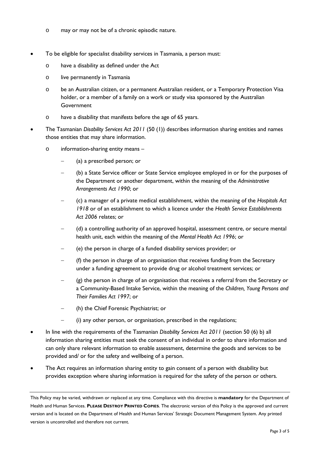- o may or may not be of a chronic episodic nature.
- To be eligible for specialist disability services in Tasmania, a person must:
	- o have a disability as defined under the Act
	- o live permanently in Tasmania
	- o be an Australian citizen, or a permanent Australian resident, or a Temporary Protection Visa holder, or a member of a family on a work or study visa sponsored by the Australian Government
	- o have a disability that manifests before the age of 65 years.
	- The Tasmanian *Disability Services Act 2011* (50 (1)) describes information sharing entities and names those entities that may share information.
		- o information-sharing entity means
			- − (a) a prescribed person; or
			- − (b) a State Service officer or State Service employee employed in or for the purposes of the Department or another department, within the meaning of the *Administrative Arrangements Act 1990*; or
			- − (c) a manager of a private medical establishment, within the meaning of the *Hospitals Act 1918* or of an establishment to which a licence under the *Health Service Establishments Act 2006* relates; or
			- − (d) a controlling authority of an approved hospital, assessment centre, or secure mental health unit, each within the meaning of the *Mental Health Act 1996*; or
			- − (e) the person in charge of a funded disability services provider; or
			- − (f) the person in charge of an organisation that receives funding from the Secretary under a funding agreement to provide drug or alcohol treatment services; or
			- − (g) the person in charge of an organisation that receives a referral from the Secretary or a Community-Based Intake Service, within the meaning of the *Children, Young Persons and Their Families Act 1997*; or
			- − (h) the Chief Forensic Psychiatrist; or
			- (i) any other person, or organisation, prescribed in the regulations;
- In line with the requirements of the Tasmanian *Disability Services Act 2011* (section 50 (6) b) all information sharing entities must seek the consent of an individual in order to share information and can only share relevant information to enable assessment, determine the goods and services to be provided and/ or for the safety and wellbeing of a person.
- The Act requires an information sharing entity to gain consent of a person with disability but provides exception where sharing information is required for the safety of the person or others.

This Policy may be varied, withdrawn or replaced at any time. Compliance with this directive is **mandatory** for the Department of Health and Human Services. **PLEASE DESTROY PRINTED COPIES**. The electronic version of this Policy is the approved and current version and is located on the Department of Health and Human Services' Strategic Document Management System. Any printed version is uncontrolled and therefore not current.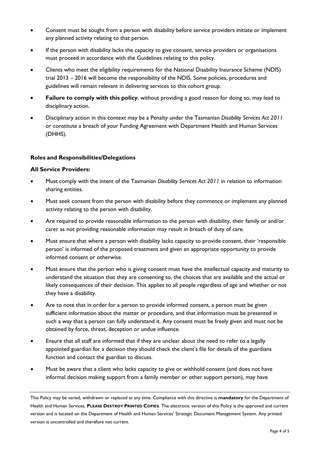- Consent must be sought from a person with disability before service providers initiate or implement any planned activity relating to that person.
- If the person with disability lacks the capacity to give consent, service providers or organisations must proceed in accordance with the Guidelines relating to this policy.
- Clients who meet the eligibility requirements for the National Disability Insurance Scheme (NDIS) trial 2013 – 2016 will become the responsibility of the NDIS. Some policies, procedures and guidelines will remain relevant in delivering services to this cohort group.
- **Failure to comply with this policy**, without providing a good reason for doing so, may lead to disciplinary action.
- Disciplinary action in this context may be a Penalty under the Tasmanian *Disability Services Act 2011* or constitute a breach of your Funding Agreement with Department Health and Human Services (DHHS).

# **Roles and Responsibilities/Delegations**

#### **All Service Providers:**

- Must comply with the intent of the Tasmanian *Disability Services Act 2011* in relation to information sharing entities.
- Must seek consent from the person with disability before they commence or implement any planned activity relating to the person with disability.
- Are required to provide reasonable information to the person with disability, their family or and/or carer as not providing reasonable information may result in breach of duty of care.
- Must ensure that where a person with disability lacks capacity to provide consent, their 'responsible person' is informed of the proposed treatment and given an appropriate opportunity to provide informed consent or otherwise.
- Must ensure that the person who is giving consent must have the intellectual capacity and maturity to understand the situation that they are consenting to, the choices that are available and the actual or likely consequences of their decision. This applies to all people regardless of age and whether or not they have a disability.
- Are to note that in order for a person to provide informed consent, a person must be given sufficient information about the matter or procedure, and that information must be presented in such a way that a person can fully understand it. Any consent must be freely given and must not be obtained by force, threat, deception or undue influence.
- Ensure that all staff are informed that if they are unclear about the need to refer to a legally appointed guardian for a decision they should check the client's file for details of the guardians function and contact the guardian to discuss.
- Must be aware that a client who lacks capacity to give or withhold consent (and does not have informal decision making support from a family member or other support person), may have

This Policy may be varied, withdrawn or replaced at any time. Compliance with this directive is **mandatory** for the Department of Health and Human Services. **PLEASE DESTROY PRINTED COPIES**. The electronic version of this Policy is the approved and current version and is located on the Department of Health and Human Services' Strategic Document Management System. Any printed version is uncontrolled and therefore not current.